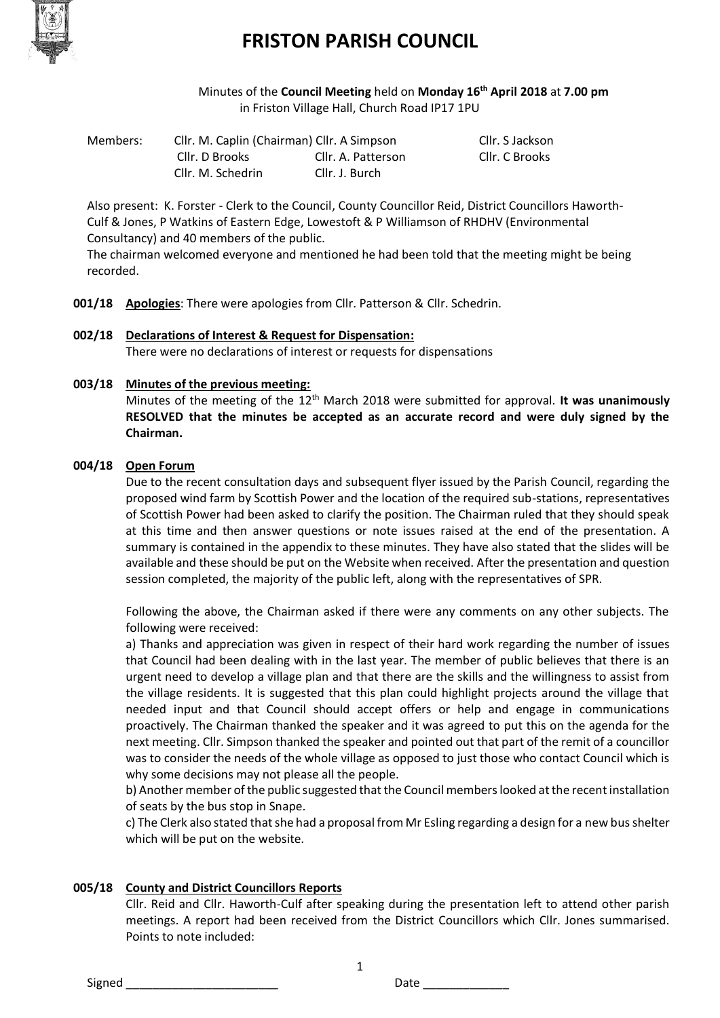

Minutes of the **Council Meeting** held on **Monday 16th April 2018** at **7.00 pm** in Friston Village Hall, Church Road IP17 1PU

Members: Cllr. M. Caplin (Chairman) Cllr. A Simpson Cllr. S Jackson Cllr. D Brooks Cllr. A. Patterson Cllr. C Brooks Cllr. M. Schedrin Cllr. J. Burch

Also present: K. Forster - Clerk to the Council, County Councillor Reid, District Councillors Haworth-Culf & Jones, P Watkins of Eastern Edge, Lowestoft & P Williamson of RHDHV (Environmental Consultancy) and 40 members of the public.

The chairman welcomed everyone and mentioned he had been told that the meeting might be being recorded.

- **001/18 Apologies**: There were apologies from Cllr. Patterson & Cllr. Schedrin.
- **002/18 Declarations of Interest & Request for Dispensation:** There were no declarations of interest or requests for dispensations

#### **003/18 Minutes of the previous meeting:**

Minutes of the meeting of the 12th March 2018 were submitted for approval. **It was unanimously RESOLVED that the minutes be accepted as an accurate record and were duly signed by the Chairman.**

#### **004/18 Open Forum**

Due to the recent consultation days and subsequent flyer issued by the Parish Council, regarding the proposed wind farm by Scottish Power and the location of the required sub-stations, representatives of Scottish Power had been asked to clarify the position. The Chairman ruled that they should speak at this time and then answer questions or note issues raised at the end of the presentation. A summary is contained in the appendix to these minutes. They have also stated that the slides will be available and these should be put on the Website when received. After the presentation and question session completed, the majority of the public left, along with the representatives of SPR.

Following the above, the Chairman asked if there were any comments on any other subjects. The following were received:

a) Thanks and appreciation was given in respect of their hard work regarding the number of issues that Council had been dealing with in the last year. The member of public believes that there is an urgent need to develop a village plan and that there are the skills and the willingness to assist from the village residents. It is suggested that this plan could highlight projects around the village that needed input and that Council should accept offers or help and engage in communications proactively. The Chairman thanked the speaker and it was agreed to put this on the agenda for the next meeting. Cllr. Simpson thanked the speaker and pointed out that part of the remit of a councillor was to consider the needs of the whole village as opposed to just those who contact Council which is why some decisions may not please all the people.

b) Another member of the public suggested that the Council members looked at the recent installation of seats by the bus stop in Snape.

c) The Clerk also stated that she had a proposal from Mr Esling regarding a design for a new bus shelter which will be put on the website.

### **005/18 County and District Councillors Reports**

Cllr. Reid and Cllr. Haworth-Culf after speaking during the presentation left to attend other parish meetings. A report had been received from the District Councillors which Cllr. Jones summarised. Points to note included:

Signed \_\_\_\_\_\_\_\_\_\_\_\_\_\_\_\_\_\_\_\_\_\_\_ Date \_\_\_\_\_\_\_\_\_\_\_\_\_

1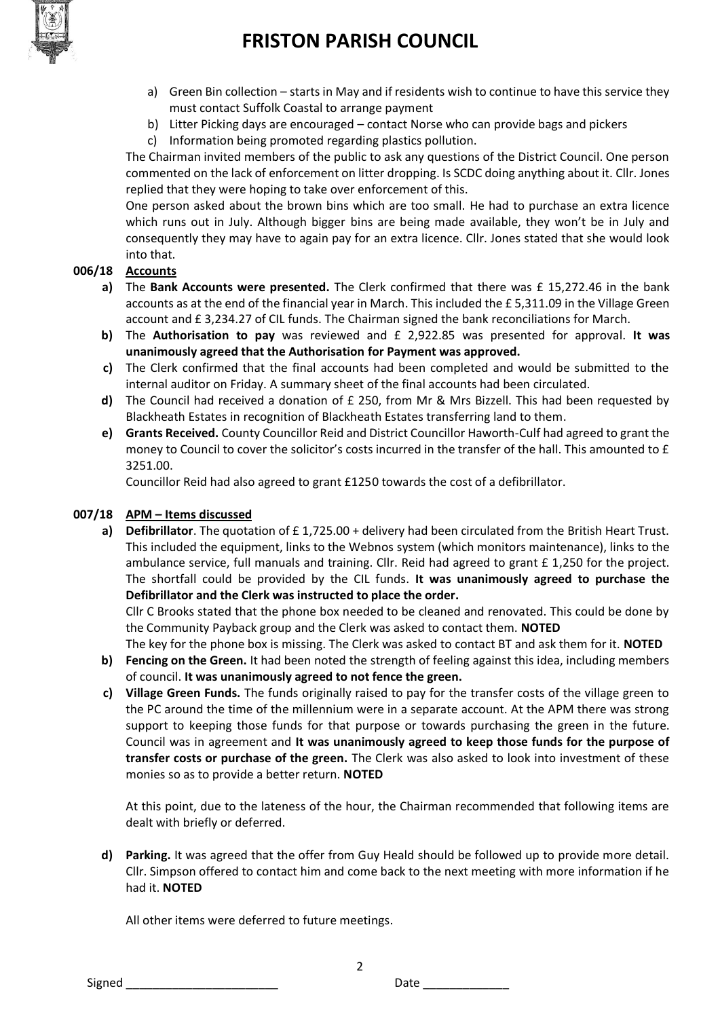

- a) Green Bin collection starts in May and if residents wish to continue to have this service they must contact Suffolk Coastal to arrange payment
- b) Litter Picking days are encouraged contact Norse who can provide bags and pickers
- c) Information being promoted regarding plastics pollution.

The Chairman invited members of the public to ask any questions of the District Council. One person commented on the lack of enforcement on litter dropping. Is SCDC doing anything about it. Cllr. Jones replied that they were hoping to take over enforcement of this.

One person asked about the brown bins which are too small. He had to purchase an extra licence which runs out in July. Although bigger bins are being made available, they won't be in July and consequently they may have to again pay for an extra licence. Cllr. Jones stated that she would look into that.

#### **006/18 Accounts**

- **a)** The **Bank Accounts were presented.** The Clerk confirmed that there was £ 15,272.46 in the bank accounts as at the end of the financial year in March. This included the £ 5,311.09 in the Village Green account and £ 3,234.27 of CIL funds. The Chairman signed the bank reconciliations for March.
- **b)** The **Authorisation to pay** was reviewed and £ 2,922.85 was presented for approval. **It was unanimously agreed that the Authorisation for Payment was approved.**
- **c)** The Clerk confirmed that the final accounts had been completed and would be submitted to the internal auditor on Friday. A summary sheet of the final accounts had been circulated.
- **d)** The Council had received a donation of £ 250, from Mr & Mrs Bizzell. This had been requested by Blackheath Estates in recognition of Blackheath Estates transferring land to them.
- **e) Grants Received.** County Councillor Reid and District Councillor Haworth-Culf had agreed to grant the money to Council to cover the solicitor's costs incurred in the transfer of the hall. This amounted to £ 3251.00.

Councillor Reid had also agreed to grant £1250 towards the cost of a defibrillator.

#### **007/18 APM – Items discussed**

**a) Defibrillator**. The quotation of £ 1,725.00 + delivery had been circulated from the British Heart Trust. This included the equipment, links to the Webnos system (which monitors maintenance), links to the ambulance service, full manuals and training. Cllr. Reid had agreed to grant £ 1,250 for the project. The shortfall could be provided by the CIL funds. **It was unanimously agreed to purchase the Defibrillator and the Clerk was instructed to place the order.** 

Cllr C Brooks stated that the phone box needed to be cleaned and renovated. This could be done by the Community Payback group and the Clerk was asked to contact them. **NOTED**

The key for the phone box is missing. The Clerk was asked to contact BT and ask them for it. **NOTED**

- **b) Fencing on the Green.** It had been noted the strength of feeling against this idea, including members of council. **It was unanimously agreed to not fence the green.**
- **c) Village Green Funds.** The funds originally raised to pay for the transfer costs of the village green to the PC around the time of the millennium were in a separate account. At the APM there was strong support to keeping those funds for that purpose or towards purchasing the green in the future. Council was in agreement and **It was unanimously agreed to keep those funds for the purpose of transfer costs or purchase of the green.** The Clerk was also asked to look into investment of these monies so as to provide a better return. **NOTED**

At this point, due to the lateness of the hour, the Chairman recommended that following items are dealt with briefly or deferred.

**d) Parking.** It was agreed that the offer from Guy Heald should be followed up to provide more detail. Cllr. Simpson offered to contact him and come back to the next meeting with more information if he had it. **NOTED**

2

All other items were deferred to future meetings.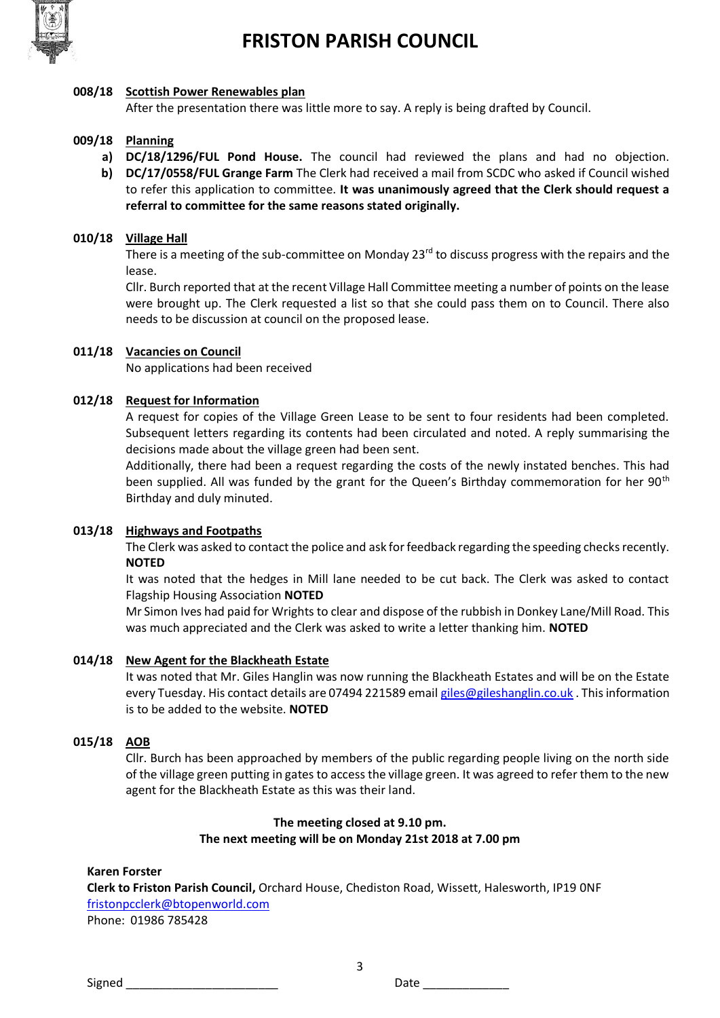

#### **008/18 Scottish Power Renewables plan**

After the presentation there was little more to say. A reply is being drafted by Council.

#### **009/18 Planning**

- **a) DC/18/1296/FUL Pond House.** The council had reviewed the plans and had no objection. **b) DC/17/0558/FUL Grange Farm** The Clerk had received a mail from SCDC who asked if Council wished
- to refer this application to committee. **It was unanimously agreed that the Clerk should request a referral to committee for the same reasons stated originally.**

#### **010/18 Village Hall**

There is a meeting of the sub-committee on Monday 23<sup>rd</sup> to discuss progress with the repairs and the lease.

Cllr. Burch reported that at the recent Village Hall Committee meeting a number of points on the lease were brought up. The Clerk requested a list so that she could pass them on to Council. There also needs to be discussion at council on the proposed lease.

#### **011/18 Vacancies on Council**

No applications had been received

#### **012/18 Request for Information**

A request for copies of the Village Green Lease to be sent to four residents had been completed. Subsequent letters regarding its contents had been circulated and noted. A reply summarising the decisions made about the village green had been sent.

Additionally, there had been a request regarding the costs of the newly instated benches. This had been supplied. All was funded by the grant for the Queen's Birthday commemoration for her 90<sup>th</sup> Birthday and duly minuted.

#### **013/18 Highways and Footpaths**

The Clerk was asked to contact the police and ask for feedback regarding the speeding checks recently. **NOTED**

It was noted that the hedges in Mill lane needed to be cut back. The Clerk was asked to contact Flagship Housing Association **NOTED**

Mr Simon Ives had paid for Wrights to clear and dispose of the rubbish in Donkey Lane/Mill Road. This was much appreciated and the Clerk was asked to write a letter thanking him. **NOTED**

#### **014/18 New Agent for the Blackheath Estate**

It was noted that Mr. Giles Hanglin was now running the Blackheath Estates and will be on the Estate every Tuesday. His contact details are 07494 221589 emai[l giles@gileshanglin.co.uk](mailto:giles@gileshanglin.co.uk). This information is to be added to the website. **NOTED**

#### **015/18 AOB**

Cllr. Burch has been approached by members of the public regarding people living on the north side of the village green putting in gates to access the village green. It was agreed to refer them to the new agent for the Blackheath Estate as this was their land.

#### **The meeting closed at 9.10 pm. The next meeting will be on Monday 21st 2018 at 7.00 pm**

3

#### **Karen Forster**

**Clerk to Friston Parish Council,** Orchard House, Chediston Road, Wissett, Halesworth, IP19 0NF [fristonpcclerk@btopenworld.com](mailto:fristonpcclerk@btopenworld.com)

Phone: 01986 785428

Signed **Example 20** Signed **Date Date Contract 20 Signed Date Contract 20 Signed**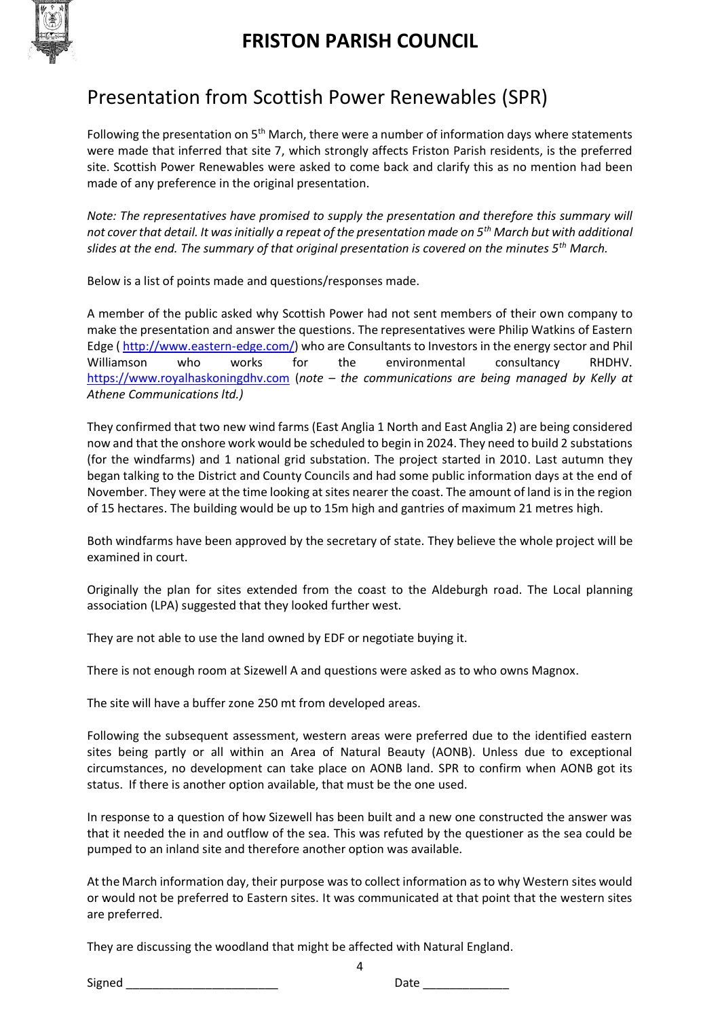

# Presentation from Scottish Power Renewables (SPR)

Following the presentation on  $5<sup>th</sup>$  March, there were a number of information days where statements were made that inferred that site 7, which strongly affects Friston Parish residents, is the preferred site. Scottish Power Renewables were asked to come back and clarify this as no mention had been made of any preference in the original presentation.

*Note: The representatives have promised to supply the presentation and therefore this summary will not cover that detail. It was initially a repeat of the presentation made on 5th March but with additional slides at the end. The summary of that original presentation is covered on the minutes 5th March.* 

Below is a list of points made and questions/responses made.

A member of the public asked why Scottish Power had not sent members of their own company to make the presentation and answer the questions. The representatives were Philip Watkins of Eastern Edge [\( http://www.eastern-edge.com/\)](http://www.eastern-edge.com/) who are Consultants to Investors in the energy sector and Phil Williamson who works for the environmental consultancy RHDHV. [https://www.royalhaskoningdhv.com](https://www.royalhaskoningdhv.com/) (*note – the communications are being managed by Kelly at Athene Communications ltd.)*

They confirmed that two new wind farms (East Anglia 1 North and East Anglia 2) are being considered now and that the onshore work would be scheduled to begin in 2024. They need to build 2 substations (for the windfarms) and 1 national grid substation. The project started in 2010. Last autumn they began talking to the District and County Councils and had some public information days at the end of November. They were at the time looking at sites nearer the coast. The amount of land is in the region of 15 hectares. The building would be up to 15m high and gantries of maximum 21 metres high.

Both windfarms have been approved by the secretary of state. They believe the whole project will be examined in court.

Originally the plan for sites extended from the coast to the Aldeburgh road. The Local planning association (LPA) suggested that they looked further west.

They are not able to use the land owned by EDF or negotiate buying it.

There is not enough room at Sizewell A and questions were asked as to who owns Magnox.

The site will have a buffer zone 250 mt from developed areas.

Following the subsequent assessment, western areas were preferred due to the identified eastern sites being partly or all within an Area of Natural Beauty (AONB). Unless due to exceptional circumstances, no development can take place on AONB land. SPR to confirm when AONB got its status. If there is another option available, that must be the one used.

In response to a question of how Sizewell has been built and a new one constructed the answer was that it needed the in and outflow of the sea. This was refuted by the questioner as the sea could be pumped to an inland site and therefore another option was available.

At the March information day, their purpose was to collect information as to why Western sites would or would not be preferred to Eastern sites. It was communicated at that point that the western sites are preferred.

4

They are discussing the woodland that might be affected with Natural England.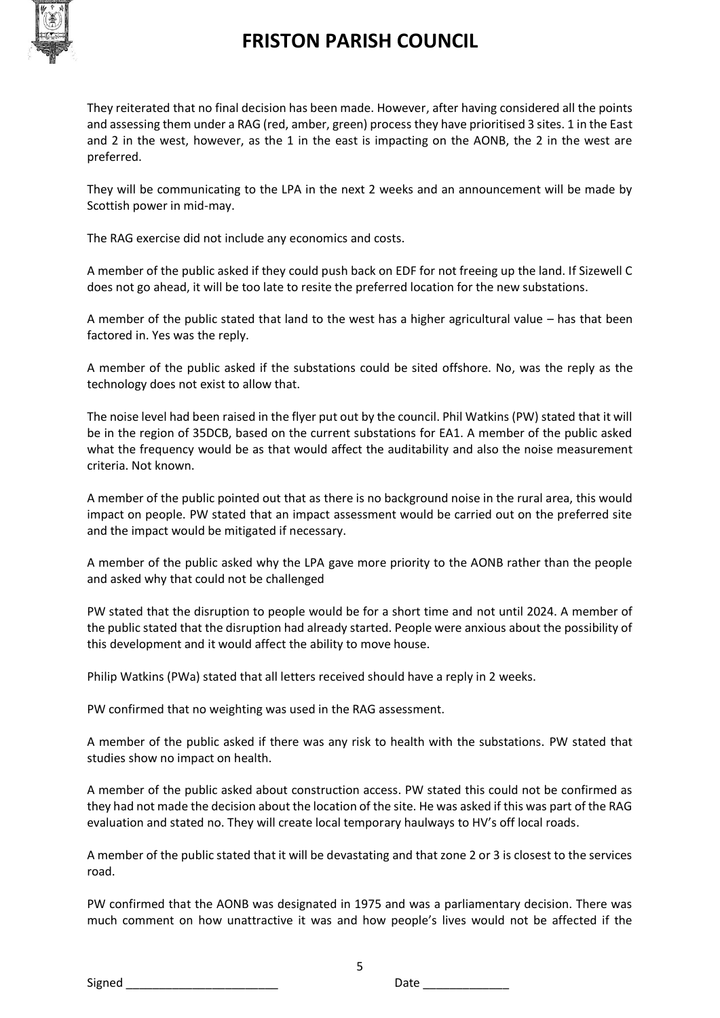

They reiterated that no final decision has been made. However, after having considered all the points and assessing them under a RAG (red, amber, green) process they have prioritised 3 sites. 1 in the East and 2 in the west, however, as the 1 in the east is impacting on the AONB, the 2 in the west are preferred.

They will be communicating to the LPA in the next 2 weeks and an announcement will be made by Scottish power in mid-may.

The RAG exercise did not include any economics and costs.

A member of the public asked if they could push back on EDF for not freeing up the land. If Sizewell C does not go ahead, it will be too late to resite the preferred location for the new substations.

A member of the public stated that land to the west has a higher agricultural value – has that been factored in. Yes was the reply.

A member of the public asked if the substations could be sited offshore. No, was the reply as the technology does not exist to allow that.

The noise level had been raised in the flyer put out by the council. Phil Watkins (PW) stated that it will be in the region of 35DCB, based on the current substations for EA1. A member of the public asked what the frequency would be as that would affect the auditability and also the noise measurement criteria. Not known.

A member of the public pointed out that as there is no background noise in the rural area, this would impact on people. PW stated that an impact assessment would be carried out on the preferred site and the impact would be mitigated if necessary.

A member of the public asked why the LPA gave more priority to the AONB rather than the people and asked why that could not be challenged

PW stated that the disruption to people would be for a short time and not until 2024. A member of the public stated that the disruption had already started. People were anxious about the possibility of this development and it would affect the ability to move house.

Philip Watkins (PWa) stated that all letters received should have a reply in 2 weeks.

PW confirmed that no weighting was used in the RAG assessment.

A member of the public asked if there was any risk to health with the substations. PW stated that studies show no impact on health.

A member of the public asked about construction access. PW stated this could not be confirmed as they had not made the decision about the location of the site. He was asked if this was part of the RAG evaluation and stated no. They will create local temporary haulways to HV's off local roads.

A member of the public stated that it will be devastating and that zone 2 or 3 is closest to the services road.

PW confirmed that the AONB was designated in 1975 and was a parliamentary decision. There was much comment on how unattractive it was and how people's lives would not be affected if the

5